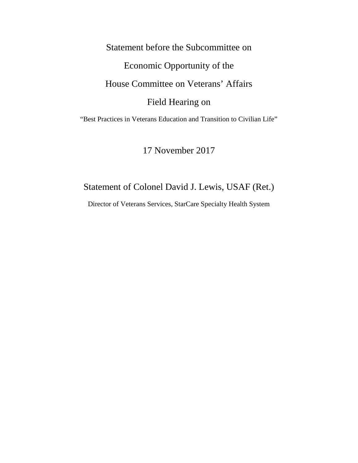Statement before the Subcommittee on Economic Opportunity of the House Committee on Veterans' Affairs Field Hearing on

"Best Practices in Veterans Education and Transition to Civilian Life"

17 November 2017

# Statement of Colonel David J. Lewis, USAF (Ret.)

Director of Veterans Services, StarCare Specialty Health System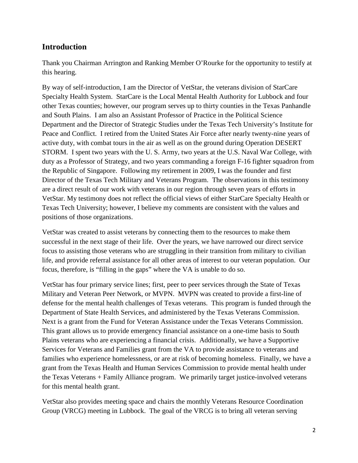### **Introduction**

Thank you Chairman Arrington and Ranking Member O'Rourke for the opportunity to testify at this hearing.

By way of self-introduction, I am the Director of VetStar, the veterans division of StarCare Specialty Health System. StarCare is the Local Mental Health Authority for Lubbock and four other Texas counties; however, our program serves up to thirty counties in the Texas Panhandle and South Plains. I am also an Assistant Professor of Practice in the Political Science Department and the Director of Strategic Studies under the Texas Tech University's Institute for Peace and Conflict. I retired from the United States Air Force after nearly twenty-nine years of active duty, with combat tours in the air as well as on the ground during Operation DESERT STORM. I spent two years with the U. S. Army, two years at the U.S. Naval War College, with duty as a Professor of Strategy, and two years commanding a foreign F-16 fighter squadron from the Republic of Singapore. Following my retirement in 2009, I was the founder and first Director of the Texas Tech Military and Veterans Program. The observations in this testimony are a direct result of our work with veterans in our region through seven years of efforts in VetStar. My testimony does not reflect the official views of either StarCare Specialty Health or Texas Tech University; however, I believe my comments are consistent with the values and positions of those organizations.

VetStar was created to assist veterans by connecting them to the resources to make them successful in the next stage of their life. Over the years, we have narrowed our direct service focus to assisting those veterans who are struggling in their transition from military to civilian life, and provide referral assistance for all other areas of interest to our veteran population. Our focus, therefore, is "filling in the gaps" where the VA is unable to do so.

VetStar has four primary service lines; first, peer to peer services through the State of Texas Military and Veteran Peer Network, or MVPN. MVPN was created to provide a first-line of defense for the mental health challenges of Texas veterans. This program is funded through the Department of State Health Services, and administered by the Texas Veterans Commission. Next is a grant from the Fund for Veteran Assistance under the Texas Veterans Commission. This grant allows us to provide emergency financial assistance on a one-time basis to South Plains veterans who are experiencing a financial crisis. Additionally, we have a Supportive Services for Veterans and Families grant from the VA to provide assistance to veterans and families who experience homelessness, or are at risk of becoming homeless. Finally, we have a grant from the Texas Health and Human Services Commission to provide mental health under the Texas Veterans + Family Alliance program. We primarily target justice-involved veterans for this mental health grant.

VetStar also provides meeting space and chairs the monthly Veterans Resource Coordination Group (VRCG) meeting in Lubbock. The goal of the VRCG is to bring all veteran serving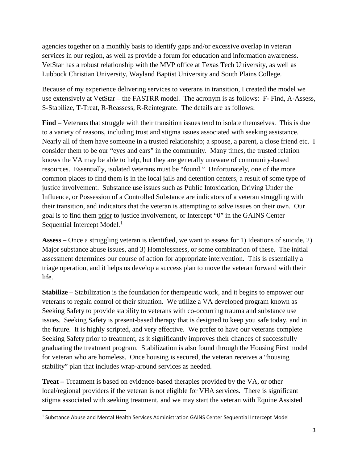agencies together on a monthly basis to identify gaps and/or excessive overlap in veteran services in our region, as well as provide a forum for education and information awareness. VetStar has a robust relationship with the MVP office at Texas Tech University, as well as Lubbock Christian University, Wayland Baptist University and South Plains College.

Because of my experience delivering services to veterans in transition, I created the model we use extensively at VetStar – the FASTRR model. The acronym is as follows: F- Find, A-Assess, S-Stabilize, T-Treat, R-Reassess, R-Reintegrate. The details are as follows:

**Find** – Veterans that struggle with their transition issues tend to isolate themselves. This is due to a variety of reasons, including trust and stigma issues associated with seeking assistance. Nearly all of them have someone in a trusted relationship; a spouse, a parent, a close friend etc. I consider them to be our "eyes and ears" in the community. Many times, the trusted relation knows the VA may be able to help, but they are generally unaware of community-based resources. Essentially, isolated veterans must be "found." Unfortunately, one of the more common places to find them is in the local jails and detention centers, a result of some type of justice involvement. Substance use issues such as Public Intoxication, Driving Under the Influence, or Possession of a Controlled Substance are indicators of a veteran struggling with their transition, and indicators that the veteran is attempting to solve issues on their own. Our goal is to find them prior to justice involvement, or Intercept "0" in the GAINS Center Sequential Intercept Model.<sup>[1](#page-2-0)</sup>

**Assess –** Once a struggling veteran is identified, we want to assess for 1) Ideations of suicide, 2) Major substance abuse issues, and 3) Homelessness, or some combination of these. The initial assessment determines our course of action for appropriate intervention. This is essentially a triage operation, and it helps us develop a success plan to move the veteran forward with their life.

**Stabilize –** Stabilization is the foundation for therapeutic work, and it begins to empower our veterans to regain control of their situation. We utilize a VA developed program known as Seeking Safety to provide stability to veterans with co-occurring trauma and substance use issues. Seeking Safety is present-based therapy that is designed to keep you safe today, and in the future. It is highly scripted, and very effective. We prefer to have our veterans complete Seeking Safety prior to treatment, as it significantly improves their chances of successfully graduating the treatment program. Stabilization is also found through the Housing First model for veteran who are homeless. Once housing is secured, the veteran receives a "housing stability" plan that includes wrap-around services as needed.

**Treat –** Treatment is based on evidence-based therapies provided by the VA, or other local/regional providers if the veteran is not eligible for VHA services. There is significant stigma associated with seeking treatment, and we may start the veteran with Equine Assisted

<span id="page-2-0"></span><sup>&</sup>lt;sup>1</sup> Substance Abuse and Mental Health Services Administration GAINS Center Sequential Intercept Model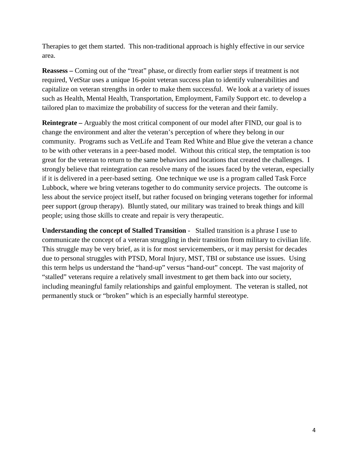Therapies to get them started. This non-traditional approach is highly effective in our service area.

**Reassess –** Coming out of the "treat" phase, or directly from earlier steps if treatment is not required, VetStar uses a unique 16-point veteran success plan to identify vulnerabilities and capitalize on veteran strengths in order to make them successful. We look at a variety of issues such as Health, Mental Health, Transportation, Employment, Family Support etc. to develop a tailored plan to maximize the probability of success for the veteran and their family.

**Reintegrate –** Arguably the most critical component of our model after FIND, our goal is to change the environment and alter the veteran's perception of where they belong in our community. Programs such as VetLife and Team Red White and Blue give the veteran a chance to be with other veterans in a peer-based model. Without this critical step, the temptation is too great for the veteran to return to the same behaviors and locations that created the challenges. I strongly believe that reintegration can resolve many of the issues faced by the veteran, especially if it is delivered in a peer-based setting. One technique we use is a program called Task Force Lubbock, where we bring veterans together to do community service projects. The outcome is less about the service project itself, but rather focused on bringing veterans together for informal peer support (group therapy). Bluntly stated, our military was trained to break things and kill people; using those skills to create and repair is very therapeutic.

**Understanding the concept of Stalled Transition** -Stalled transition is a phrase I use to communicate the concept of a veteran struggling in their transition from military to civilian life. This struggle may be very brief, as it is for most servicemembers, or it may persist for decades due to personal struggles with PTSD, Moral Injury, MST, TBI or substance use issues. Using this term helps us understand the "hand-up" versus "hand-out" concept. The vast majority of "stalled" veterans require a relatively small investment to get them back into our society, including meaningful family relationships and gainful employment. The veteran is stalled, not permanently stuck or "broken" which is an especially harmful stereotype.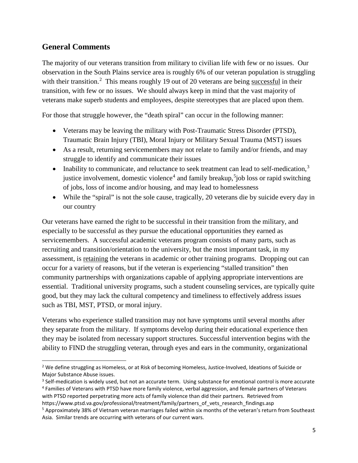## **General Comments**

The majority of our veterans transition from military to civilian life with few or no issues. Our observation in the South Plains service area is roughly 6% of our veteran population is struggling with their transition.<sup>[2](#page-4-0)</sup> This means roughly 19 out of 20 veterans are being successful in their transition, with few or no issues. We should always keep in mind that the vast majority of veterans make superb students and employees, despite stereotypes that are placed upon them.

For those that struggle however, the "death spiral" can occur in the following manner:

- Veterans may be leaving the military with Post-Traumatic Stress Disorder (PTSD), Traumatic Brain Injury (TBI), Moral Injury or Military Sexual Trauma (MST) issues
- As a result, returning servicemembers may not relate to family and/or friends, and may struggle to identify and communicate their issues
- Inability to communicate, and reluctance to seek treatment can lead to self-medication, $3$ justice involvement, domestic violence<sup>[4](#page-4-2)</sup> and family breakup,<sup>[5](#page-4-3)</sup>job loss or rapid switching of jobs, loss of income and/or housing, and may lead to homelessness
- While the "spiral" is not the sole cause, tragically, 20 veterans die by suicide every day in our country

Our veterans have earned the right to be successful in their transition from the military, and especially to be successful as they pursue the educational opportunities they earned as servicemembers. A successful academic veterans program consists of many parts, such as recruiting and transition/orientation to the university, but the most important task, in my assessment, is retaining the veterans in academic or other training programs. Dropping out can occur for a variety of reasons, but if the veteran is experiencing "stalled transition" then community partnerships with organizations capable of applying appropriate interventions are essential. Traditional university programs, such a student counseling services, are typically quite good, but they may lack the cultural competency and timeliness to effectively address issues such as TBI, MST, PTSD, or moral injury.

Veterans who experience stalled transition may not have symptoms until several months after they separate from the military. If symptoms develop during their educational experience then they may be isolated from necessary support structures. Successful intervention begins with the ability to FIND the struggling veteran, through eyes and ears in the community, organizational

<span id="page-4-0"></span><sup>&</sup>lt;sup>2</sup> We define struggling as Homeless, or at Risk of becoming Homeless, Justice-Involved, Ideations of Suicide or Major Substance Abuse issues.

<span id="page-4-2"></span><span id="page-4-1"></span><sup>&</sup>lt;sup>3</sup> Self-medication is widely used, but not an accurate term. Using substance for emotional control is more accurate <sup>4</sup> Families of Veterans with PTSD have more family violence, verbal aggression, and female partners of Veterans with PTSD reported perpetrating more acts of family violence than did their partners. Retrieved from https://www.ptsd.va.gov/professional/treatment/family/partners\_of\_vets\_research\_findings.asp

<span id="page-4-3"></span><sup>5</sup> Approximately 38% of Vietnam veteran marriages failed within six months of the veteran's return from Southeast Asia. Similar trends are occurring with veterans of our current wars.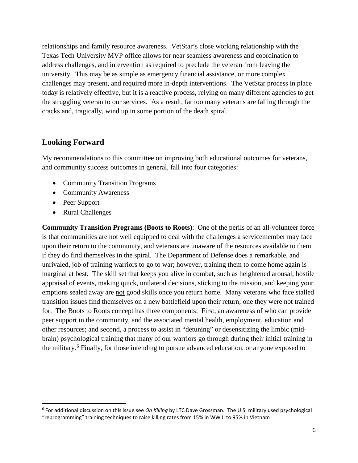relationships and family resource awareness. VetStar's close working relationship with the Texas Tech University MVP office allows for near seamless awareness and coordination to address challenges, and intervention as required to preclude the veteran from leaving the university. This may be as simple as emergency financial assistance, or more complex challenges may present, and required more in-depth interventions. The VetStar process in place today is relatively effective, but it is a reactive process, relying on many different agencies to get the struggling veteran to our services. As a result, far too many veterans are falling through the cracks and, tragically, wind up in some portion of the death spiral.

### **Looking Forward**

My recommendations to this committee on improving both educational outcomes for veterans, and community success outcomes in general, fall into four categories:

- Community Transition Programs
- Community Awareness
- Peer Support
- Rural Challenges

**Community Transition Programs (Boots to Roots)**: One of the perils of an all-volunteer force is that communities are not well equipped to deal with the challenges a servicemember may face upon their return to the community, and veterans are unaware of the resources available to them if they do find themselves in the spiral. The Department of Defense does a remarkable, and unrivaled, job of training warriors to go to war; however, training them to come home again is marginal at best. The skill set that keeps you alive in combat, such as heightened arousal, hostile appraisal of events, making quick, unilateral decisions, sticking to the mission, and keeping your emptions sealed away are not good skills once you return home. Many veterans who face stalled transition issues find themselves on a new battlefield upon their return; one they were not trained for. The Boots to Roots concept has three components: First, an awareness of who can provide peer support in the community, and the associated mental health, employment, education and other resources; and second, a process to assist in "detuning" or desensitizing the limbic (midbrain) psychological training that many of our warriors go through during their initial training in the military.[6](#page-5-0) Finally, for those intending to pursue advanced education, or anyone exposed to

<span id="page-5-0"></span> <sup>6</sup> For additional discussion on this issue see *On Killing* by LTC Dave Grossman. The U.S. military used psychological "reprogramming" training techniques to raise killing rates from 15% in WW II to 95% in Vietnam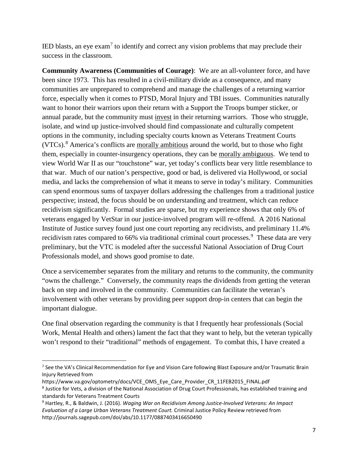IED blasts, an eye  $exam<sup>7</sup>$  $exam<sup>7</sup>$  $exam<sup>7</sup>$  to identify and correct any vision problems that may preclude their success in the classroom.

**Community Awareness (Communities of Courage)**: We are an all-volunteer force, and have been since 1973. This has resulted in a civil-military divide as a consequence, and many communities are unprepared to comprehend and manage the challenges of a returning warrior force, especially when it comes to PTSD, Moral Injury and TBI issues. Communities naturally want to honor their warriors upon their return with a Support the Troops bumper sticker, or annual parade, but the community must invest in their returning warriors. Those who struggle, isolate, and wind up justice-involved should find compassionate and culturally competent options in the community, including specialty courts known as Veterans Treatment Courts (VTCs).<sup>[8](#page-6-1)</sup> America's conflicts are morally ambitious around the world, but to those who fight them, especially in counter-insurgency operations, they can be morally ambiguous. We tend to view World War II as our "touchstone" war, yet today's conflicts bear very little resemblance to that war. Much of our nation's perspective, good or bad, is delivered via Hollywood, or social media, and lacks the comprehension of what it means to serve in today's military. Communities can spend enormous sums of taxpayer dollars addressing the challenges from a traditional justice perspective; instead, the focus should be on understanding and treatment, which can reduce recidivism significantly. Formal studies are sparse, but my experience shows that only 6% of veterans engaged by VetStar in our justice-involved program will re-offend. A 2016 National Institute of Justice survey found just one court reporting any recidivists, and preliminary 11.4% recidivism rates compared to 66% via traditional criminal court processes.<sup>[9](#page-6-2)</sup> These data are very preliminary, but the VTC is modeled after the successful National Association of Drug Court Professionals model, and shows good promise to date.

Once a servicemember separates from the military and returns to the community, the community "owns the challenge." Conversely, the community reaps the dividends from getting the veteran back on step and involved in the community. Communities can facilitate the veteran's involvement with other veterans by providing peer support drop-in centers that can begin the important dialogue.

One final observation regarding the community is that I frequently hear professionals (Social Work, Mental Health and others) lament the fact that they want to help, but the veteran typically won't respond to their "traditional" methods of engagement. To combat this, I have created a

<span id="page-6-0"></span> <sup>7</sup> See the VA's Clinical Recommendation for Eye and Vision Care following Blast Exposure and/or Traumatic Brain Injury Retrieved from

https://www.va.gov/optometry/docs/VCE\_OMS\_Eye\_Care\_Provider\_CR\_11FEB2015\_FINAL.pdf

<span id="page-6-1"></span><sup>8</sup> Justice for Vets, a division of the National Association of Drug Court Professionals, has established training and standards for Veterans Treatment Courts

<span id="page-6-2"></span><sup>9</sup> Hartley, R., & Baldwin, J. (2016). *Waging War on Recidivism Among Justice-Involved Veterans: An Impact Evaluation of a Large Urban Veterans Treatment Court.* Criminal Justice Policy Review retrieved from http://journals.sagepub.com/doi/abs/10.1177/0887403416650490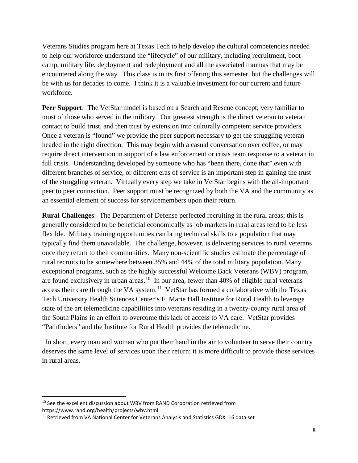Veterans Studies program here at Texas Tech to help develop the cultural competencies needed to help our workforce understand the "lifecycle" of our military, including recruitment, boot camp, military life, deployment and redeployment and all the associated traumas that may be encountered along the way. This class is in its first offering this semester, but the challenges will be with us for decades to come. I think it is a valuable investment for our current and future workforce.

**Peer Support**: The VetStar model is based on a Search and Rescue concept; very familiar to most of those who served in the military. Our greatest strength is the direct veteran to veteran contact to build trust, and then trust by extension into culturally competent service providers. Once a veteran is "found" we provide the peer support necessary to get the struggling veteran headed in the right direction. This may begin with a casual conversation over coffee, or may require direct intervention in support of a law enforcement or crisis team response to a veteran in full crisis. Understanding developed by someone who has "been there, done that" even with different branches of service, or different eras of service is an important step in gaining the trust of the struggling veteran. Virtually every step we take in VetStar begins with the all-important peer to peer connection. Peer support must be recognized by both the VA and the community as an essential element of success for servicemembers upon their return.

**Rural Challenges**: The Department of Defense perfected recruiting in the rural areas; this is generally considered to be beneficial economically as job markets in rural areas tend to be less flexible. Military training opportunities can bring technical skills to a population that may typically find them unavailable. The challenge, however, is delivering services to rural veterans once they return to their communities. Many non-scientific studies estimate the percentage of rural recruits to be somewhere between 35% and 44% of the total military population. Many exceptional programs, such as the highly successful Welcome Back Veterans (WBV) program, are found exclusively in urban areas.<sup>[10](#page-7-0)</sup> In our area, fewer than 40% of eligible rural veterans access their care through the VA system.<sup>11</sup> VetStar has formed a collaborative with the Texas Tech University Health Sciences Center's F. Marie Hall Institute for Rural Health to leverage state of the art telemedicine capabilities into veterans residing in a twenty-county rural area of the South Plains in an effort to overcome this lack of access to VA care. VetStar provides "Pathfinders" and the Institute for Rural Health provides the telemedicine.

In short, every man and woman who put their hand in the air to volunteer to serve their country deserves the same level of services upon their return; it is more difficult to provide those services in rural areas.

<span id="page-7-0"></span> $10$  See the excellent discussion about WBV from RAND Corporation retrieved from https://www.rand.org/health/projects/wbv.html

<span id="page-7-1"></span> $11$  Retrieved from VA National Center for Veterans Analysis and Statistics GDX 16 data set